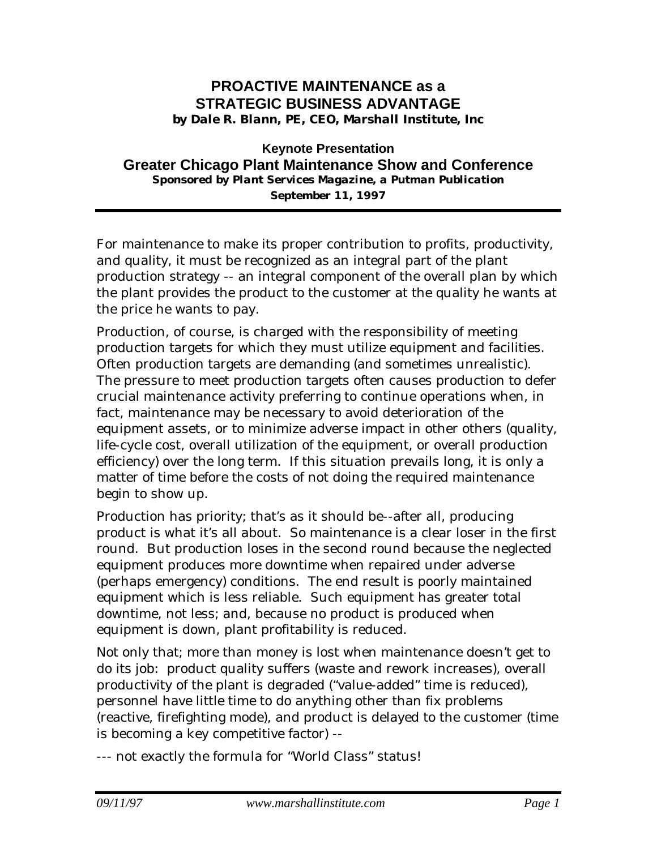### **PROACTIVE MAINTENANCE as a STRATEGIC BUSINESS ADVANTAGE** *by Dale R. Blann, PE, CEO, Marshall Institute, Inc*

### **Keynote Presentation Greater Chicago Plant Maintenance Show and Conference** *Sponsored by Plant Services Magazine, a Putman Publication September 11, 1997*

For maintenance to make its proper contribution to profits, productivity, and quality, it must be recognized as an integral part of the plant production strategy -- an integral component of the overall plan by which the plant provides the product to the customer at the quality he wants at the price he wants to pay.

Production, of course, is charged with the responsibility of meeting production targets for which they must utilize equipment and facilities. Often production targets are demanding (and sometimes unrealistic). The pressure to meet production targets often causes production to defer crucial maintenance activity preferring to continue operations when, in fact, maintenance may be necessary to avoid deterioration of the equipment assets, or to minimize adverse impact in other others (quality, life-cycle cost, overall utilization of the equipment, or overall production efficiency) over the long term. If this situation prevails long, it is only a matter of time before the costs of not doing the required maintenance begin to show up.

Production has priority; that's as it should be--after all, producing product is what it's all about. So maintenance is a clear loser in the first round. But production loses in the second round because the neglected equipment produces more downtime when repaired under adverse (perhaps emergency) conditions. The end result is poorly maintained equipment which is less reliable. Such equipment has greater total downtime, not less; and, because no product is produced when equipment is down, plant profitability is reduced.

Not only that; more than money is lost when maintenance doesn't get to do its job: product quality suffers (waste and rework increases), overall productivity of the plant is degraded ("value-added" time is reduced), personnel have little time to do anything other than fix problems (reactive, firefighting mode), and product is delayed to the customer (time is becoming a key competitive factor) --

--- not exactly the formula for "World Class" status!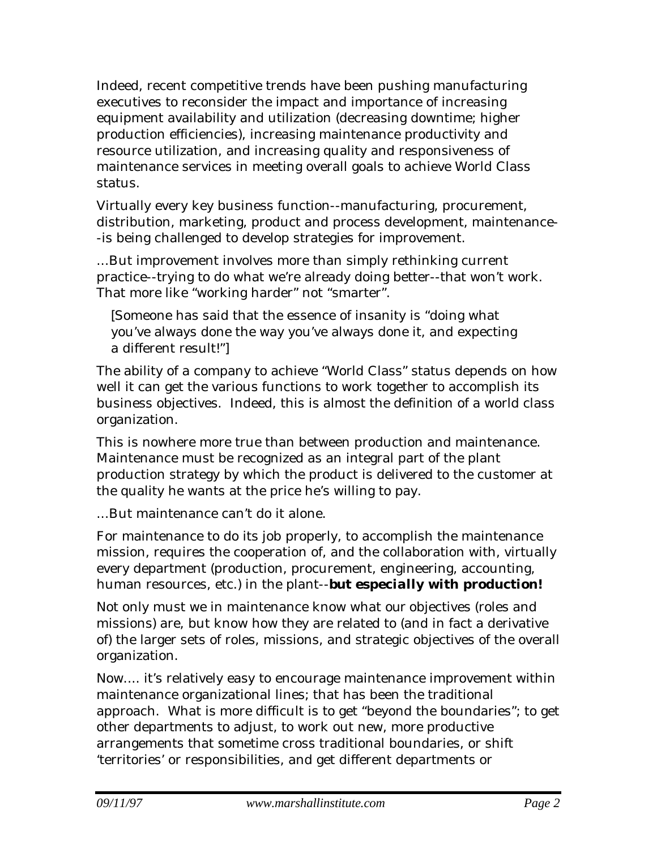Indeed, recent competitive trends have been pushing manufacturing executives to reconsider the impact and importance of increasing equipment availability and utilization (decreasing downtime; higher production efficiencies), increasing maintenance productivity and resource utilization, and increasing quality and responsiveness of maintenance services in meeting overall goals to achieve World Class status.

Virtually every key business function--manufacturing, procurement, distribution, marketing, product and process development, maintenance- -is being challenged to develop strategies for improvement.

...But improvement involves more than simply rethinking current practice--trying to do what we're already doing better--that won't work. That more like "working harder" not "smarter".

[Someone has said that the essence of insanity is "doing what you've always done the way you've always done it, and expecting a different result!"]

The ability of a company to achieve "World Class" status depends on how well it can get the various functions to work together to accomplish its business objectives. Indeed, this is almost the definition of a world class organization.

This is nowhere more true than between production and maintenance. Maintenance must be recognized as an integral part of the plant production strategy by which the product is delivered to the customer at the quality he wants at the price he's willing to pay.

...But maintenance can't do it alone.

For maintenance to do its job properly, to accomplish the maintenance mission, requires the cooperation of, and the collaboration with, virtually every department (production, procurement, engineering, accounting, human resources, etc.) in the plant--*but especially with production!*

Not only must we in maintenance know what *our* objectives (roles and missions) are, but know how they are related to (and in fact a derivative of) the larger sets of roles, missions, and strategic objectives of the overall organization.

Now.... it's relatively easy to encourage maintenance improvement within maintenance organizational lines; that has been the traditional approach. What is more difficult is to get "beyond the boundaries"; to get other departments to adjust, to work out new, more productive arrangements that sometime cross traditional boundaries, or shift 'territories' or responsibilities, and get different departments or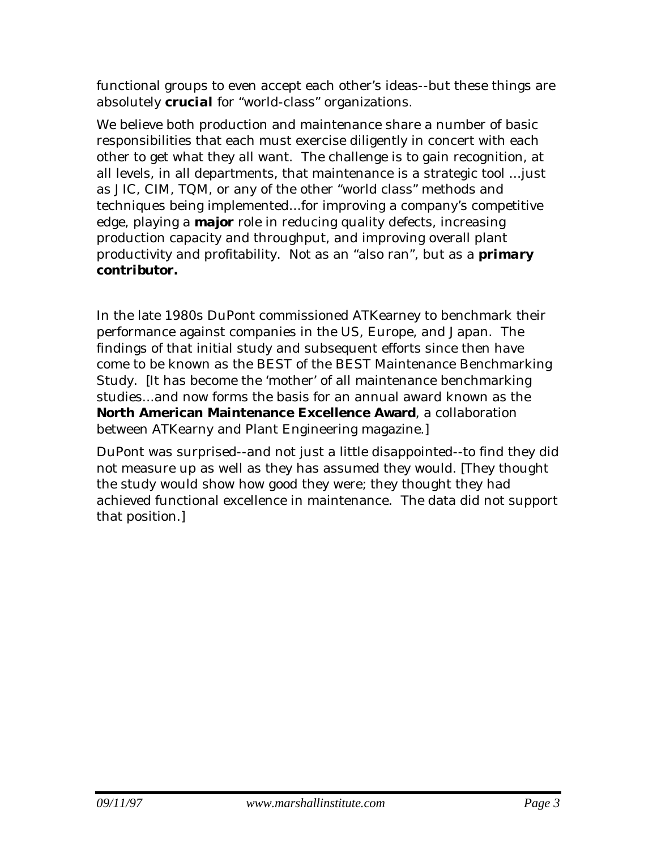functional groups to even accept each other's ideas--but these things are absolutely *crucial* for "world-class" organizations.

We believe both production and maintenance share a number of basic responsibilities that each must exercise diligently in concert with each other to get what they all want. The challenge is to gain recognition, at all levels, in all departments, that maintenance is a strategic tool ...just as JIC, CIM, TQM, or any of the other "world class" methods and techniques being implemented...for improving a company's competitive edge, playing a *major* role in reducing quality defects, increasing production capacity and throughput, and improving overall plant productivity and profitability. Not as an "also ran", but as a *primary contributor.*

In the late 1980s DuPont commissioned ATKearney to benchmark their performance against companies in the US, Europe, and Japan. The findings of that initial study and subsequent efforts since then have come to be known as the BEST of the BEST Maintenance Benchmarking Study. [It has become the 'mother' of all maintenance benchmarking studies...and now forms the basis for an annual award known as the **North American Maintenance Excellence Award**, a collaboration between ATKearny and Plant Engineering magazine.]

DuPont was surprised--and not just a little disappointed--to find they did not measure up as well as they has assumed they would. [They thought the study would show how *good* they were; they thought they had achieved functional excellence in maintenance. The data did not support that position.]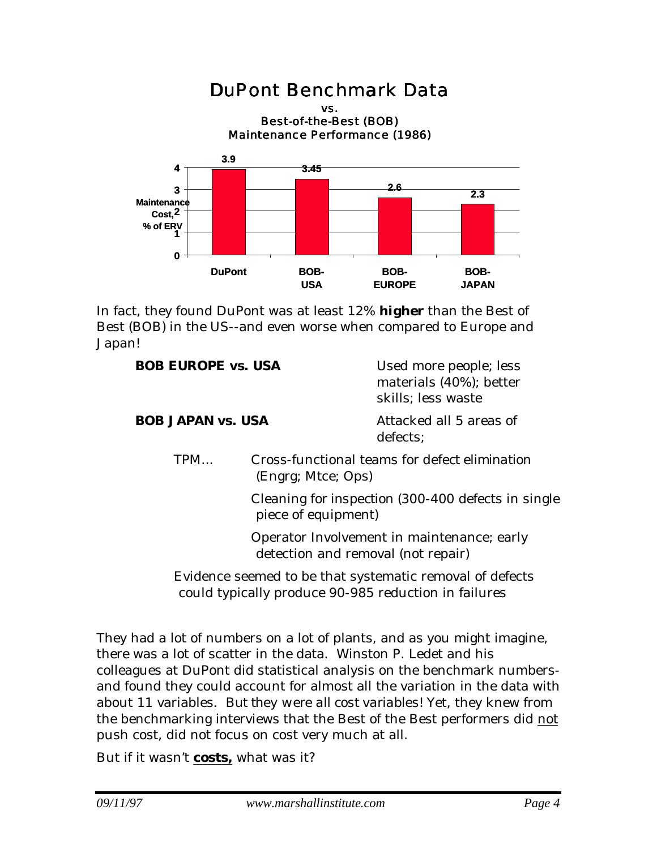### DuPont Benchmark Data vs. Best-of-the-Best (BOB) Maintenance Performance (1986) **3.9 3.45 2.6 2.3 0 1 2 Cost, 3 4 DuPont BOB-USA BOB-EUROPE BOB-JAPAN Maintenance % of ERV**

In fact, they found DuPont was at least 12% *higher* than the Best of Best (BOB) in the US--and even worse when compared to Europe and Japan!

| <b>BOB EUROPE vs. USA</b> |                                                                     | Used more people; less<br>materials (40%); better<br>skills; less waste |
|---------------------------|---------------------------------------------------------------------|-------------------------------------------------------------------------|
| <b>BOB JAPAN vs. USA</b>  |                                                                     | Attacked all 5 areas of<br>defects;                                     |
| TPM                       | Cross-functional teams for defect elimination<br>(Engrg; Mtce; Ops) |                                                                         |
|                           | piece of equipment)                                                 | Cleaning for inspection (300-400 defects in single                      |

Operator Involvement in maintenance; early detection and removal (not repair)

Evidence seemed to be that systematic removal of defects could typically produce 90-985 reduction in failures

They had a lot of numbers on a lot of plants, and as you might imagine, there was a lot of scatter in the data. Winston P. Ledet and his colleagues at DuPont did statistical analysis on the benchmark numbersand found they could account for almost all the variation in the data with about 11 variables. *But they were all cost variables!* Yet, they knew from the benchmarking interviews that the Best of the Best performers did not push cost, did not focus on cost very much at all.

But if it wasn't *costs,* what was it?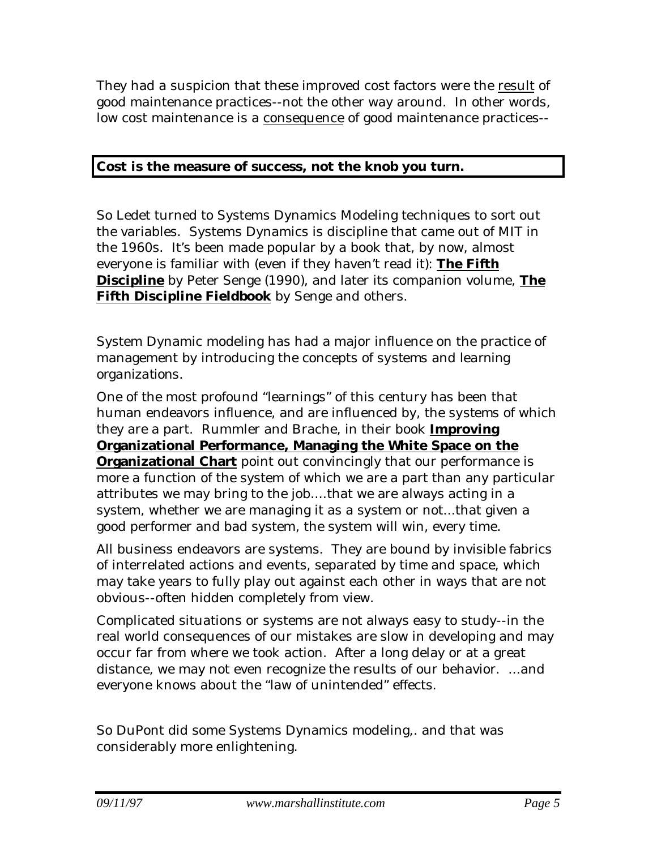They had a suspicion that these improved cost factors were the result of good maintenance practices--not the other way around. In other words, low cost maintenance is a consequence of good maintenance practices--

### **Cost is the measure of success, not the knob you turn.**

So Ledet turned to Systems Dynamics Modeling techniques to sort out the variables. Systems Dynamics is discipline that came out of MIT in the 1960s. It's been made popular by a book that, by now, almost everyone is familiar with (even if they haven't read it): **The Fifth Discipline** by Peter Senge (1990), and later its companion volume, **The Fifth Discipline Fieldbook** by Senge and others.

System Dynamic modeling has had a major influence on the practice of management by introducing the concepts of *systems* and *learning organizations*.

One of the most profound "learnings" of this century has been that human endeavors influence, and are influenced by, the *systems* of which they are a part. Rummler and Brache, in their book **Improving Organizational Performance, Managing the White Space on the Organizational Chart** point out convincingly that our performance is more a function of the system of which we are a part than any particular attributes we may bring to the job....that we are always acting in a system, whether we are managing it as a system or not...that given a good performer and bad system, the system will win, every time.

All business endeavors are systems. They are bound by invisible fabrics of interrelated actions and events, separated by time and space, which may take years to fully play out against each other in ways that are not obvious--often hidden completely from view.

Complicated situations or systems are not always easy to study--in the real world consequences of our mistakes are slow in developing and may occur far from where we took action. After a long delay or at a great distance, we may not even recognize the results of our behavior. ...and everyone knows about the "law of unintended" effects.

So DuPont did some Systems Dynamics modeling,. and that was considerably more enlightening.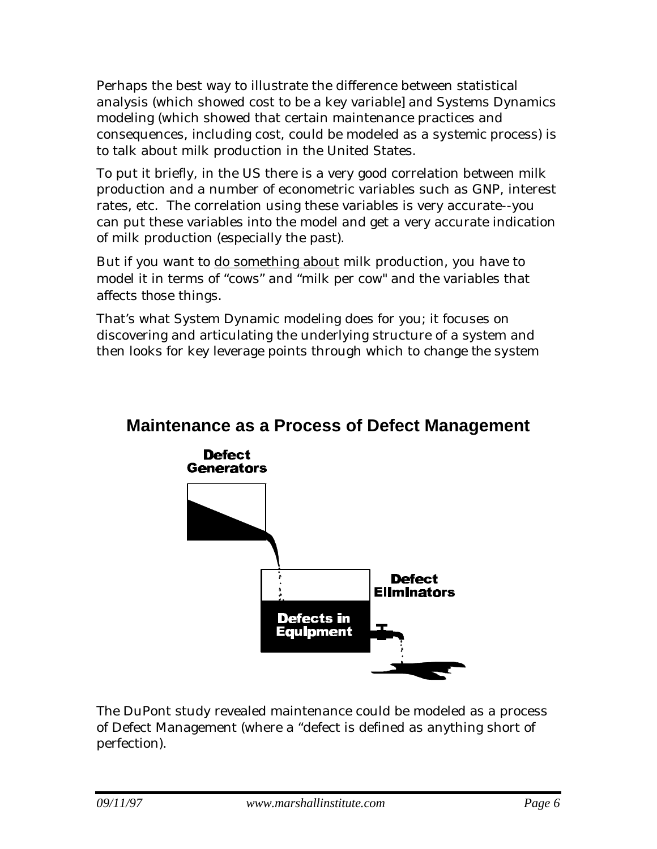Perhaps the best way to illustrate the difference between statistical analysis (which showed cost to be a key variable] and Systems Dynamics modeling (which showed that certain maintenance practices and consequences, including cost, could be modeled as a *systemic* process) is to talk about milk production in the United States.

To put it briefly, in the US there is a very good correlation between milk production and a number of econometric variables such as GNP, interest rates, etc. The correlation using these variables is very accurate--you can put these variables into the model and get a very accurate indication of milk production (especially the past).

But if you want to do something about milk production, you have to model it in terms of "cows" and "milk per cow" and the variables that affects *those* things.

That's what System Dynamic modeling does for you; it focuses on discovering and articulating the underlying structure of a system and then looks for key leverage points through which to *change the system*

## **Maintenance as a Process of Defect Management**



The DuPont study revealed maintenance could be modeled as a process of Defect Management (where a "defect is defined as anything short of perfection).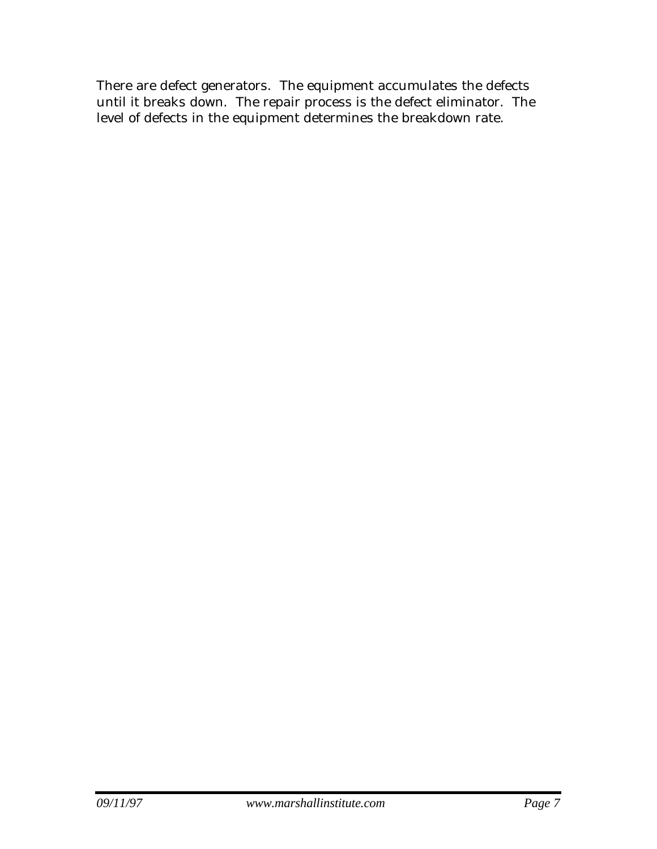There are defect generators. The equipment accumulates the defects until it breaks down. The repair process is the defect eliminator. The level of defects in the equipment determines the breakdown rate.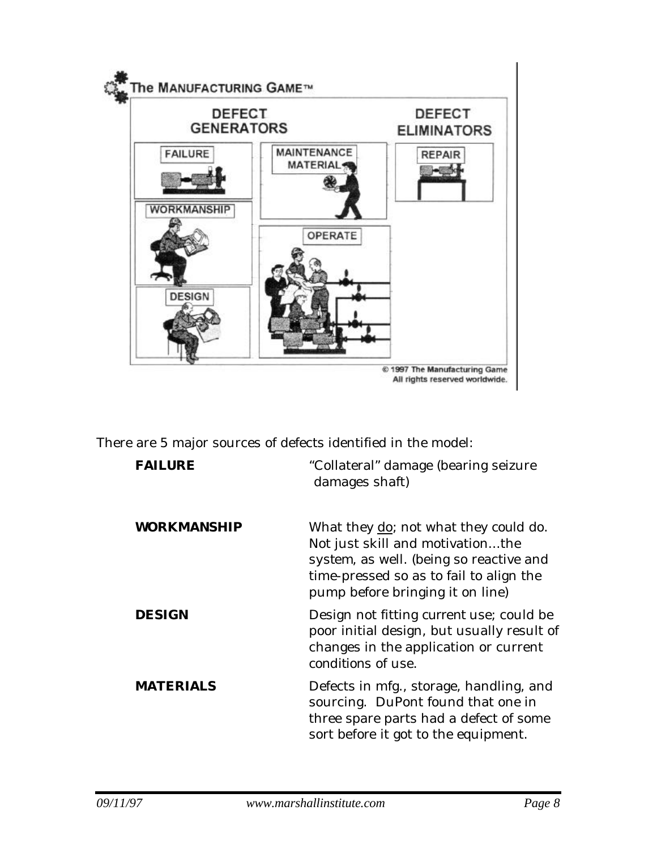

There are 5 major sources of defects identified in the model:

| <b>FAILURE</b>     | "Collateral" damage (bearing seizure<br>damages shaft)                                                                                                                                              |
|--------------------|-----------------------------------------------------------------------------------------------------------------------------------------------------------------------------------------------------|
| <b>WORKMANSHIP</b> | What they do; not what they could do.<br>Not just skill and motivationthe<br>system, as well. (being so reactive and<br>time-pressed so as to fail to align the<br>pump before bringing it on line) |
| <b>DESIGN</b>      | Design not fitting <i>current</i> use; could be<br>poor initial design, but usually result of<br>changes in the application or current<br>conditions of use.                                        |
| <b>MATERIALS</b>   | Defects in mfg., storage, handling, and<br>sourcing. DuPont found that one in<br>three spare parts had a defect of some<br>sort <i>before</i> it got to the equipment.                              |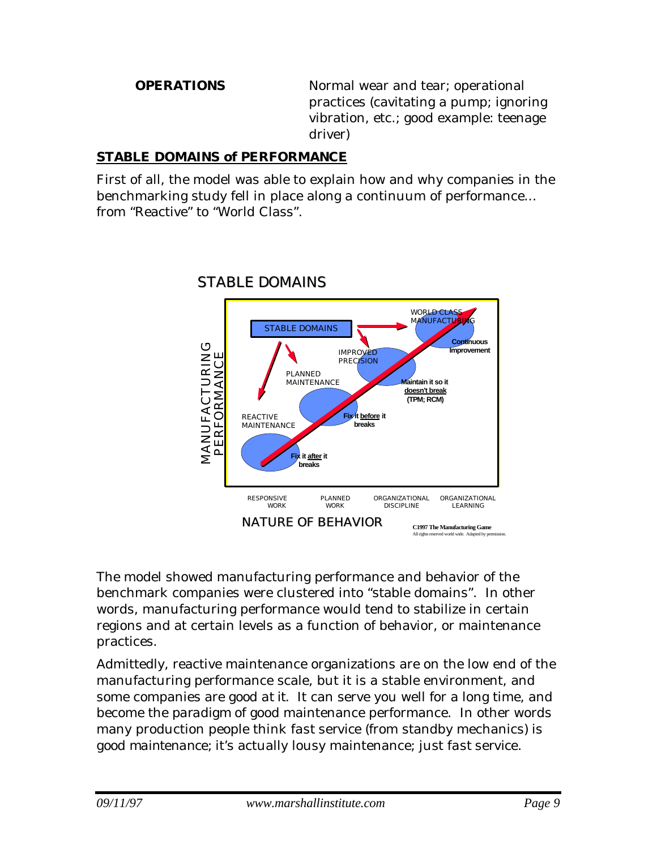**OPERATIONS** Normal wear and tear; operational practices (cavitating a pump; ignoring vibration, etc.; good example: teenage driver)

### **STABLE DOMAINS of PERFORMANCE**

First of all, the model was able to explain how and why companies in the benchmarking study fell in place along a continuum of performance... from "Reactive" to "World Class".



## STABLE DOMAINS

The model showed manufacturing performance and behavior of the benchmark companies were clustered into "stable domains". In other words, manufacturing performance would tend to stabilize in certain regions and at certain levels as a function of behavior, or maintenance practices.

Admittedly, reactive maintenance organizations are on the low end of the manufacturing performance scale, but it is a stable environment, and some companies are *good at it.* It can serve you well for a long time, and become the *paradigm* of good maintenance performance. In other words many production people think *fast service* (from standby mechanics) is *good maintenance;* it's actually lousy maintenance; just *fast service.*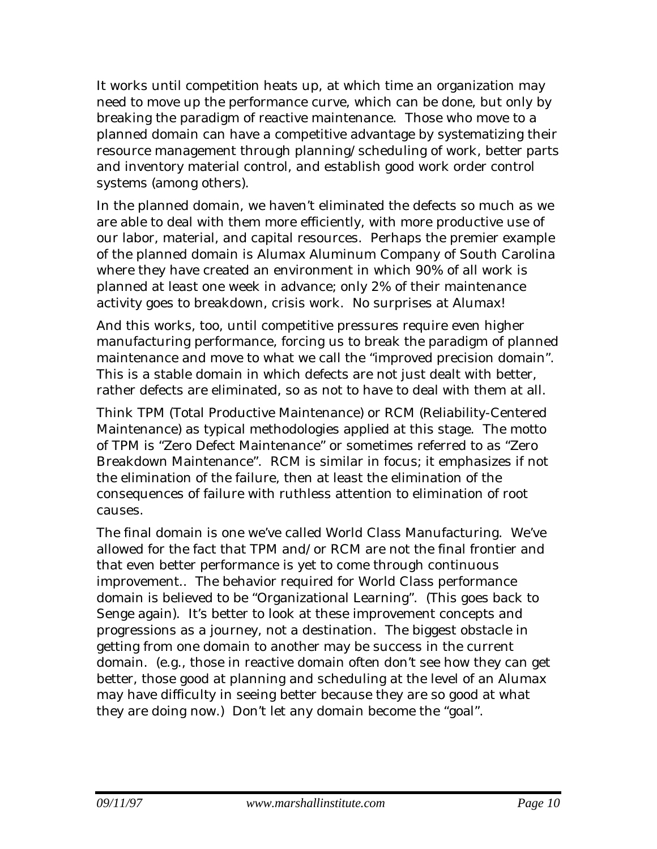It works until competition heats up, at which time an organization may need to move up the performance curve, which can be done, but only by breaking the paradigm of reactive maintenance. Those who move to a planned domain can have a competitive advantage by systematizing their resource management through planning/scheduling of work, better parts and inventory material control, and establish good work order control systems (among others).

In the planned domain, we haven't eliminated the defects so much as we are able to deal with them more efficiently, with more productive use of our labor, material, and capital resources. Perhaps the premier example of the planned domain is Alumax Aluminum Company of South Carolina where they have created an environment in which 90% of all work is planned at least one week in advance; only 2% of their maintenance activity goes to breakdown, crisis work. No surprises at Alumax!

And this works, too, until competitive pressures require even higher manufacturing performance, forcing us to break the paradigm of planned maintenance and move to what we call the "improved precision domain". This is a stable domain in which defects are not just dealt with better, rather defects are eliminated, so as not to have to deal with them at all.

Think TPM (Total Productive Maintenance) or RCM (Reliability-Centered Maintenance) as typical methodologies applied at this stage. The motto of TPM is "Zero Defect Maintenance" or sometimes referred to as "Zero Breakdown Maintenance". RCM is similar in focus; it emphasizes if not the elimination of the failure, then at least the elimination of the consequences of failure with ruthless attention to elimination of root causes.

The final domain is one we've called World Class Manufacturing. We've allowed for the fact that TPM and/or RCM are not the final frontier and that even better performance is yet to come through continuous improvement.. The behavior required for World Class performance domain is believed to be "Organizational Learning". (This goes back to Senge again). It's better to look at these improvement concepts and progressions as a journey, not a destination. The biggest obstacle in getting from one domain to another may be success in the current domain. (e.g., those in reactive domain often don't see how they can get better, those good at planning and scheduling at the level of an Alumax may have difficulty in seeing better because they are so good at what they are doing now.) Don't let any domain become the "goal".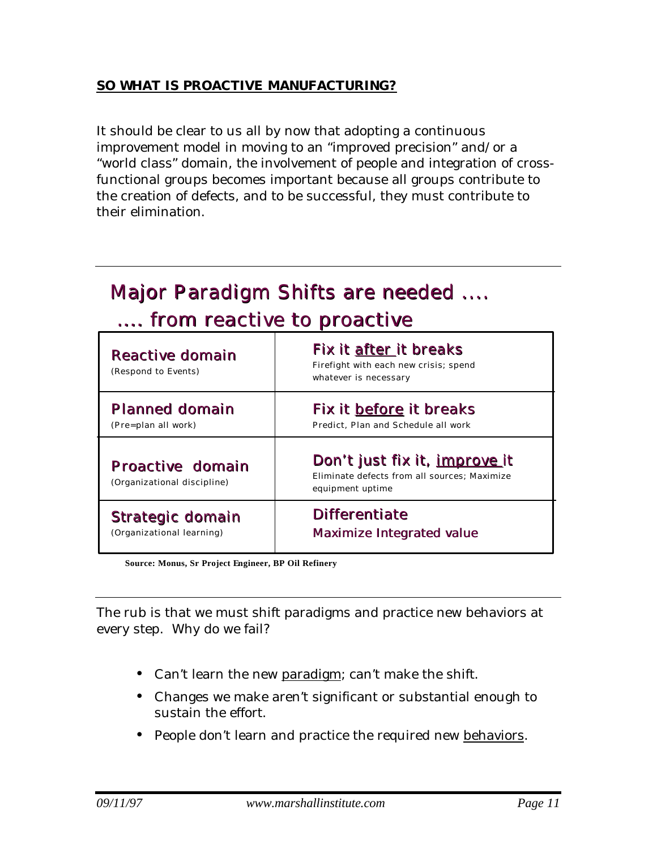### **SO WHAT IS PROACTIVE MANUFACTURING?**

It should be clear to us all by now that adopting a continuous improvement model in moving to an "improved precision" and/or a "world class" domain, the involvement of people and integration of crossfunctional groups becomes important because all groups contribute to the creation of defects, and to be successful, they must contribute to their elimination.

# Major Paradigm Shifts are needed .... .... from reactive to proactive

| Reactive domain<br>(Respond to Events)          | Fix it after it breaks<br>Firefight with each new crisis; spend<br>whatever is necessary          |
|-------------------------------------------------|---------------------------------------------------------------------------------------------------|
| <b>Planned domain</b>                           | Fix it before it breaks                                                                           |
| (Pre=plan all work)                             | Predict, Plan and Schedule all work                                                               |
| Proactive domain<br>(Organizational discipline) | Don't just fix it, improve it<br>Eliminate defects from all sources: Maximize<br>equipment uptime |
| Strategic domain                                | <b>Differentiate</b>                                                                              |
| (Organizational learning)                       | Maximize Integrated value                                                                         |

**Source: Monus, Sr Project Engineer, BP Oil Refinery**

The rub is that we must shift paradigms and practice new behaviors at every step. Why do we fail?

- Can't learn the new paradigm; can't make the shift.
- Changes we make aren't significant or substantial enough to sustain the effort.
- People don't learn and practice the required new behaviors.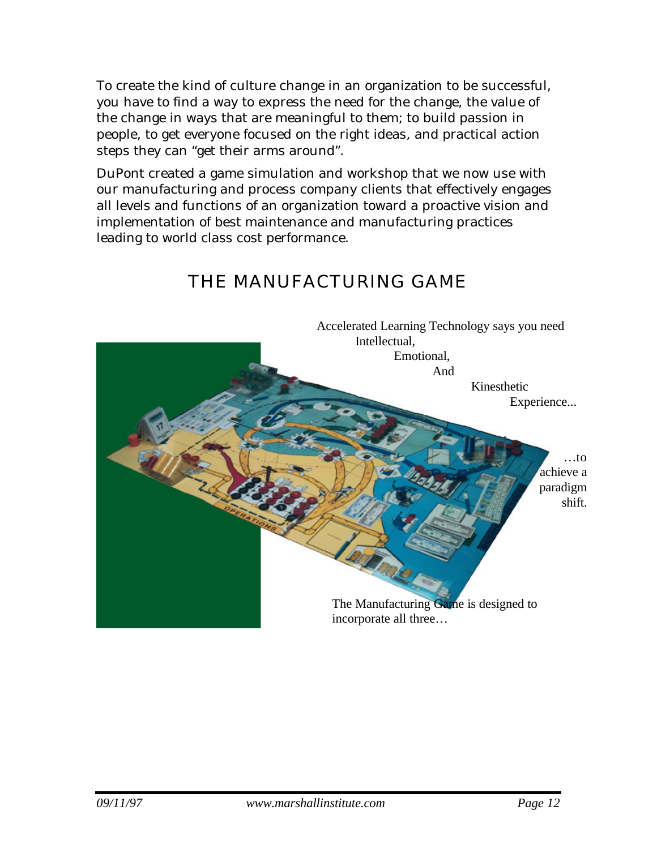To create the kind of culture change in an organization to be successful, you have to find a way to express the need for the change, the value of the change in ways that are meaningful to them; to build passion in people, to get everyone focused on the right ideas, and practical action steps they can "get their arms around".

DuPont created a game simulation and workshop that we now use with our manufacturing and process company clients that effectively engages all levels and functions of an organization toward a proactive vision and implementation of best maintenance and manufacturing practices leading to world class cost performance.

# Accelerated Learning Technology says you need Intellectual, Emotional, And Kinesthetic Experience... …to achieve a paradigm shift. The Manufacturing Game is designed to incorporate all three…

## THE MANUFACTURING GAME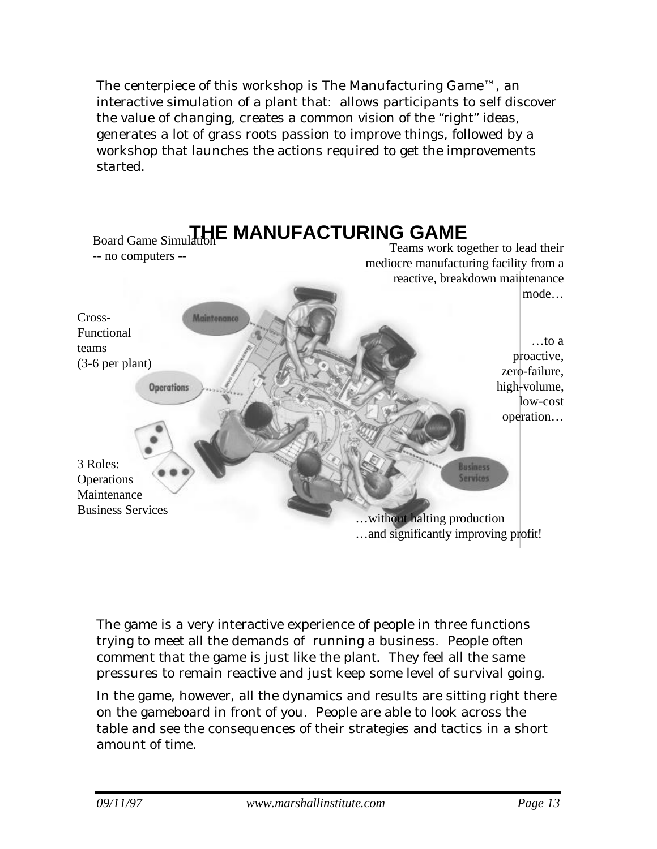The centerpiece of this workshop is The Manufacturing Game™, an interactive simulation of a plant that: allows participants to self discover the value of changing, creates a common vision of the "right" ideas, generates a lot of grass roots passion to improve things, followed by a workshop that launches the actions required to get the improvements started.



The game is a very interactive experience of people in three functions trying to meet all the demands of running a business. People often comment that the game is just like the plant. They feel all the same pressures to remain reactive and just keep some level of survival going.

In the game, however, all the dynamics and results are sitting right there on the gameboard in front of you. People are able to look across the table and see the consequences of their strategies and tactics in a short amount of time.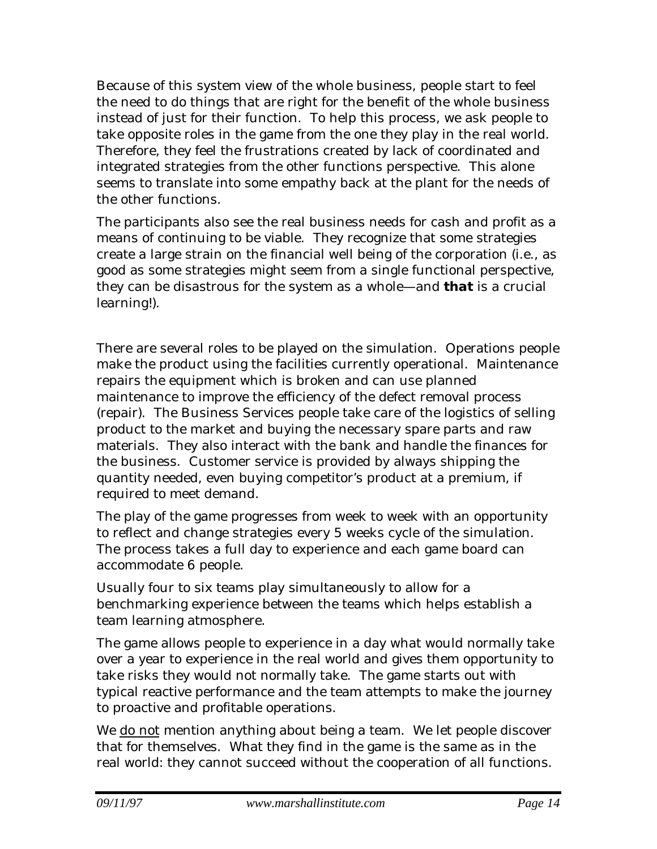Because of this system view of the whole business, people start to feel the need to do things that are right for the benefit of the whole business instead of just for their function. To help this process, we ask people to take opposite roles in the game from the one they play in the real world. Therefore, they feel the frustrations created by lack of coordinated and integrated strategies from the other functions perspective. This alone seems to translate into some empathy back at the plant for the needs of the other functions.

The participants also see the real business needs for cash and profit as a means of continuing to be viable. They recognize that some strategies create a large strain on the financial well being of the corporation (i.e., as good as some strategies might seem from a single functional perspective, they can be disastrous for the system as a whole—and *that* is a crucial learning!).

There are several roles to be played on the simulation. Operations people make the product using the facilities currently operational. Maintenance repairs the equipment which is broken and can use planned maintenance to improve the efficiency of the defect removal process (repair). The Business Services people take care of the logistics of selling product to the market and buying the necessary spare parts and raw materials. They also interact with the bank and handle the finances for the business. Customer service is provided by always shipping the quantity needed, even buying competitor's product at a premium, if required to meet demand.

The play of the game progresses from week to week with an opportunity to reflect and change strategies every 5 weeks cycle of the simulation. The process takes a full day to experience and each game board can accommodate 6 people.

Usually four to six teams play simultaneously to allow for a benchmarking experience between the teams which helps establish a team learning atmosphere.

The game allows people to experience in a day what would normally take over a year to experience in the real world and gives them opportunity to take risks they would not normally take. The game starts out with typical reactive performance and the team attempts to make the journey to proactive and profitable operations.

We do not mention anything about being a team. We let people discover that for themselves. What they find in the game is the same as in the real world: they cannot succeed without the cooperation of all functions.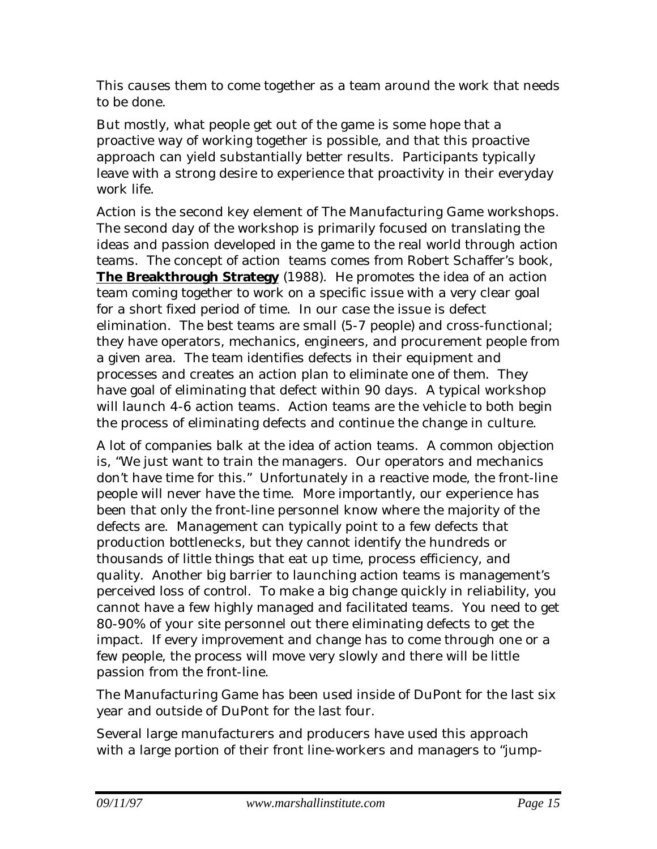This causes them to come together as a team around the work that needs to be done.

But mostly, what people get out of the game is some hope that a proactive way of working together is possible, and that this proactive approach can yield substantially better results. Participants typically leave with a strong desire to experience that proactivity in their everyday work life.

Action is the second key element of The Manufacturing Game workshops. The second day of the workshop is primarily focused on translating the ideas and passion developed in the game to the real world through action teams. The concept of action teams comes from Robert Schaffer's book, **The Breakthrough Strategy** (1988). He promotes the idea of an action team coming together to work on a specific issue with a very clear goal for a short fixed period of time. In our case the issue is defect elimination. The best teams are small (5-7 people) and cross-functional; they have operators, mechanics, engineers, and procurement people from a given area. The team identifies defects in their equipment and processes and creates an action plan to eliminate one of them. They have goal of eliminating that defect within 90 days. A typical workshop will launch 4-6 action teams. Action teams are the vehicle to both begin the process of eliminating defects and continue the change in culture.

A lot of companies balk at the idea of action teams. A common objection is, "We just want to train the managers. Our operators and mechanics don't have time for this." Unfortunately in a reactive mode, the front-line people will never have the time. More importantly, our experience has been that only the front-line personnel know where the majority of the defects are. Management can typically point to a few defects that production bottlenecks, but they cannot identify the hundreds or thousands of little things that eat up time, process efficiency, and quality. Another big barrier to launching action teams is management's perceived loss of control. To make a big change quickly in reliability, you cannot have a few highly managed and facilitated teams. You need to get 80-90% of your site personnel out there eliminating defects to get the impact. If every improvement and change has to come through one or a few people, the process will move very slowly and there will be little passion from the front-line.

The Manufacturing Game has been used inside of DuPont for the last six year and outside of DuPont for the last four.

Several large manufacturers and producers have used this approach with a large portion of their front line-workers and managers to "jump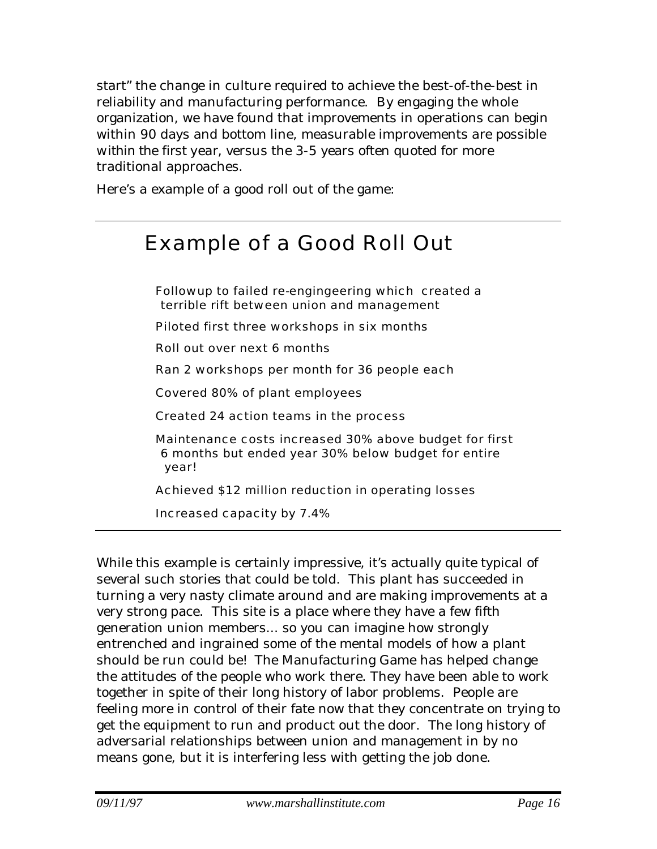start" the change in culture required to achieve the best-of-the-best in reliability and manufacturing performance. By engaging the whole organization, we have found that improvements in operations can begin within 90 days and bottom line, measurable improvements *are possible within the first year*, versus the 3-5 years often quoted for more traditional approaches.

Here's a example of a good roll out of the game:

# Example of a Good Roll Out

Followup to failed re-engingeering which created a terrible rift between union and management Piloted first three workshops in six months

Roll out over next 6 months

Ran 2 workshops per month for 36 people each

Covered 80% of plant employees

Created 24 action teams in the process

Maintenance costs increased 30% above budget for first 6 months but ended year 30% below budget for entire year!

Achieved \$12 million reduction in operating losses

Increased capacity by 7.4%

While this example is certainly impressive, it's actually quite typical of several such stories that could be told. This plant has succeeded in turning a very nasty climate around and are making improvements at a very strong pace. This site is a place where they have a few fifth generation union members... so you can imagine how strongly entrenched and ingrained some of the mental models of how a plant should be run could be! The Manufacturing Game has helped change the attitudes of the people who work there. They have been able to work together in spite of their long history of labor problems. People are feeling more in control of their fate now that they concentrate on trying to get the equipment to run and product out the door. The long history of adversarial relationships between union and management in by no means gone, but it is interfering less with getting the job done.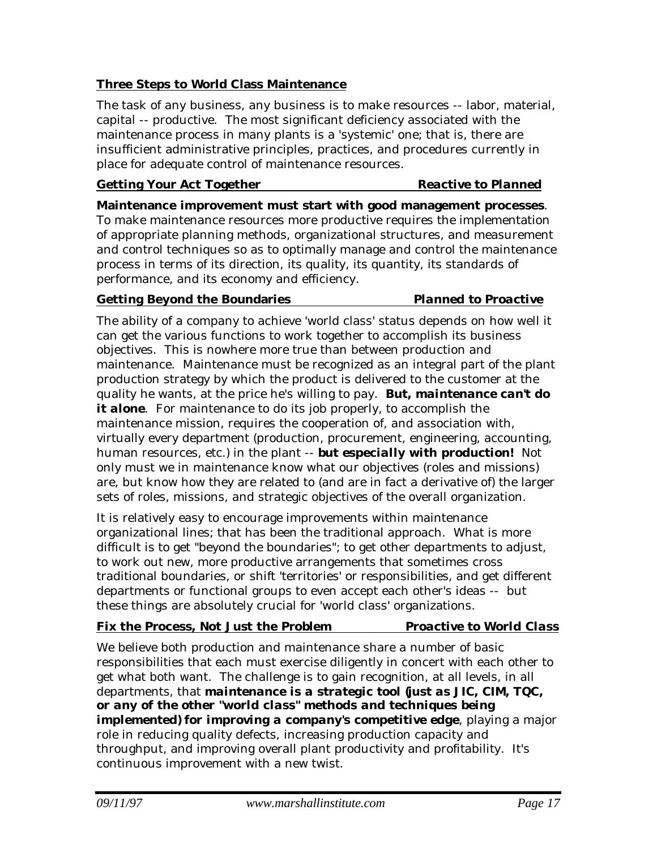### **Three Steps to World Class Maintenance**

The task of any business, any business is to make resources -- labor, material, capital -- productive. The most significant deficiency associated with the maintenance process in many plants is a 'systemic' one; that is, there are insufficient administrative principles, practices, and procedures currently in place for adequate control of maintenance resources.

### **Getting Your Act Together** *Reactive to Planned*

**Maintenance improvement must start with good management processes**. To make maintenance resources more productive requires the implementation of appropriate planning methods, organizational structures, and measurement and control techniques so as to optimally manage and control the maintenance process in terms of its direction, its quality, its quantity, its standards of performance, and its economy and efficiency.

### **Getting Beyond the Boundaries** *Planned to Proactive*

The ability of a company to achieve 'world class' status depends on how well it can get the various functions to work together to accomplish its business objectives. This is nowhere more true than between production and maintenance. Maintenance must be recognized as an integral part of the plant production strategy by which the product is delivered to the customer at the quality he wants, at the price he's willing to pay. *But, maintenance can't do* it **alone**. For maintenance to do its job properly, to accomplish the maintenance mission, requires the cooperation of, and association with, virtually every department (production, procurement, engineering, accounting, human resources, etc.) in the plant -- *but especially with production!* Not only must we in maintenance know what our objectives (roles and missions) are, but know how they are related to (and are in fact a derivative of) the larger sets of roles, missions, and strategic objectives of the overall organization.

It is relatively easy to encourage improvements within maintenance organizational lines; that has been the traditional approach. What is more difficult is to get "beyond the boundaries"; to get other departments to adjust, to work out new, more productive arrangements that sometimes cross traditional boundaries, or shift 'territories' or responsibilities, and get different departments or functional groups to even accept each other's ideas -- but these things are absolutely crucial for 'world class' organizations.

### **Fix the Process, Not Just the Problem** *Proactive to World Class*

We believe both production and maintenance share a number of basic responsibilities that each must exercise diligently in concert with each other to get what both want. The challenge is to gain recognition, at all levels, in all departments, that *maintenance is a strategic tool (just as JIC, CIM, TQC, or any of the other "world class" methods and techniques being implemented) for improving a company's competitive edge*, playing a major role in reducing quality defects, increasing production capacity and throughput, and improving overall plant productivity and profitability. It's continuous improvement with a new twist.